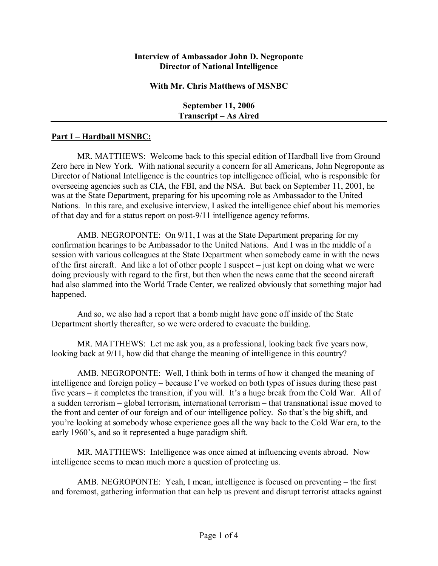## **Interview of Ambassador John D. Negroponte Director of National Intelligence**

## **With Mr. Chris Matthews of MSNBC**

**September 11, 2006 Transcript – As Aired** 

## **Part I – Hardball MSNBC:**

MR. MATTHEWS: Welcome back to this special edition of Hardball live from Ground Zero here in New York. With national security a concern for all Americans, John Negroponte as Director of National Intelligence is the countries top intelligence official, who is responsible for overseeing agencies such as CIA, the FBI, and the NSA. But back on September 11, 2001, he was at the State Department, preparing for his upcoming role as Ambassador to the United Nations. In this rare, and exclusive interview, I asked the intelligence chief about his memories of that day and for a status report on post-9/11 intelligence agency reforms.

AMB. NEGROPONTE: On 9/11, I was at the State Department preparing for my confirmation hearings to be Ambassador to the United Nations. And I was in the middle of a session with various colleagues at the State Department when somebody came in with the news of the first aircraft. And like a lot of other people I suspect  $-$  just kept on doing what we were doing previously with regard to the first, but then when the news came that the second aircraft had also slammed into the World Trade Center, we realized obviously that something major had happened.

And so, we also had a report that a bomb might have gone off inside of the State Department shortly thereafter, so we were ordered to evacuate the building.

MR. MATTHEWS: Let me ask you, as a professional, looking back five years now, looking back at 9/11, how did that change the meaning of intelligence in this country?

AMB. NEGROPONTE: Well, I think both in terms of how it changed the meaning of intelligence and foreign policy – because I've worked on both types of issues during these past five years – it completes the transition, if you will. It's a huge break from the Cold War. All of a sudden terrorism  $-$  global terrorism, international terrorism  $-$  that transnational issue moved to the front and center of our foreign and of our intelligence policy. So that's the big shift, and youíre looking at somebody whose experience goes all the way back to the Cold War era, to the early 1960's, and so it represented a huge paradigm shift.

MR. MATTHEWS: Intelligence was once aimed at influencing events abroad. Now intelligence seems to mean much more a question of protecting us.

AMB. NEGROPONTE: Yeah, I mean, intelligence is focused on preventing  $-$  the first and foremost, gathering information that can help us prevent and disrupt terrorist attacks against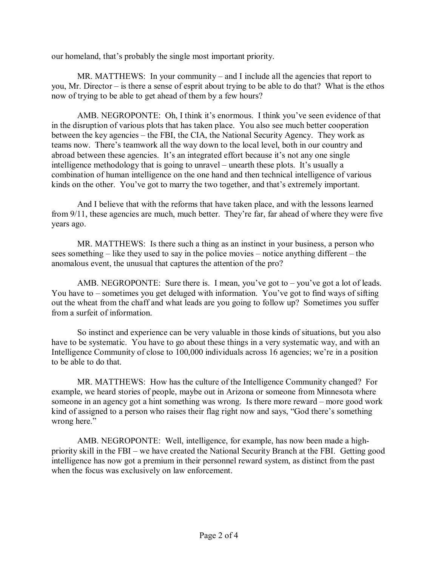our homeland, that's probably the single most important priority.

MR. MATTHEWS: In your community – and I include all the agencies that report to you, Mr. Director  $-\dot{i}$  is there a sense of esprit about trying to be able to do that? What is the ethos now of trying to be able to get ahead of them by a few hours?

AMB. NEGROPONTE: Oh, I think it's enormous. I think you've seen evidence of that in the disruption of various plots that has taken place. You also see much better cooperation between the key agencies – the FBI, the CIA, the National Security Agency. They work as teams now. There's teamwork all the way down to the local level, both in our country and abroad between these agencies. It's an integrated effort because it's not any one single intelligence methodology that is going to unravel  $-$  unearth these plots. It's usually a combination of human intelligence on the one hand and then technical intelligence of various kinds on the other. You've got to marry the two together, and that's extremely important.

And I believe that with the reforms that have taken place, and with the lessons learned from 9/11, these agencies are much, much better. They're far, far ahead of where they were five years ago.

MR. MATTHEWS: Is there such a thing as an instinct in your business, a person who sees something  $\overline{\phantom{a}}$  like they used to say in the police movies  $\overline{\phantom{a}}$  notice anything different  $\overline{\phantom{a}}$  the anomalous event, the unusual that captures the attention of the pro?

AMB. NEGROPONTE: Sure there is. I mean, you've got to  $-$  you've got a lot of leads. You have to  $\sim$  sometimes you get deluged with information. You've got to find ways of sifting out the wheat from the chaff and what leads are you going to follow up? Sometimes you suffer from a surfeit of information.

So instinct and experience can be very valuable in those kinds of situations, but you also have to be systematic. You have to go about these things in a very systematic way, and with an Intelligence Community of close to 100,000 individuals across 16 agencies; we're in a position to be able to do that.

MR. MATTHEWS: How has the culture of the Intelligence Community changed? For example, we heard stories of people, maybe out in Arizona or someone from Minnesota where someone in an agency got a hint something was wrong. Is there more reward  $-$  more good work kind of assigned to a person who raises their flag right now and says, "God there's something wrong here."

AMB. NEGROPONTE: Well, intelligence, for example, has now been made a highpriority skill in the FBI – we have created the National Security Branch at the FBI. Getting good intelligence has now got a premium in their personnel reward system, as distinct from the past when the focus was exclusively on law enforcement.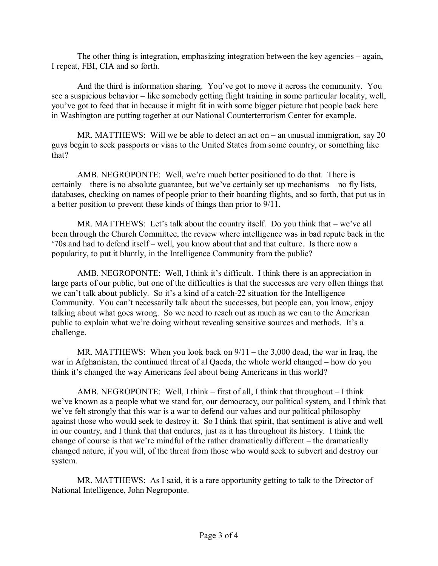The other thing is integration, emphasizing integration between the key agencies  $-\alpha$  again, I repeat, FBI, CIA and so forth.

And the third is information sharing. You've got to move it across the community. You see a suspicious behavior – like somebody getting flight training in some particular locality, well, you've got to feed that in because it might fit in with some bigger picture that people back here in Washington are putting together at our National Counterterrorism Center for example.

MR. MATTHEWS: Will we be able to detect an act on  $-$  an unusual immigration, say 20 guys begin to seek passports or visas to the United States from some country, or something like that?

AMB. NEGROPONTE: Well, we're much better positioned to do that. There is certainly  $-$  there is no absolute guarantee, but we've certainly set up mechanisms  $-$  no fly lists, databases, checking on names of people prior to their boarding flights, and so forth, that put us in a better position to prevent these kinds of things than prior to 9/11.

MR. MATTHEWS: Let's talk about the country itself. Do you think that  $-\mathbf{we}$ 've all been through the Church Committee, the review where intelligence was in bad repute back in the '70s and had to defend itself – well, you know about that and that culture. Is there now a popularity, to put it bluntly, in the Intelligence Community from the public?

AMB. NEGROPONTE: Well, I think it's difficult. I think there is an appreciation in large parts of our public, but one of the difficulties is that the successes are very often things that we can't talk about publicly. So it's a kind of a catch-22 situation for the Intelligence Community. You can't necessarily talk about the successes, but people can, you know, enjoy talking about what goes wrong. So we need to reach out as much as we can to the American public to explain what we're doing without revealing sensitive sources and methods. It's a challenge.

MR. MATTHEWS: When you look back on  $9/11 -$  the 3,000 dead, the war in Iraq, the war in Afghanistan, the continued threat of al Qaeda, the whole world changed  $-$  how do you think it's changed the way Americans feel about being Americans in this world?

AMB. NEGROPONTE: Well, I think  $-$  first of all, I think that throughout  $-$  I think we've known as a people what we stand for, our democracy, our political system, and I think that we've felt strongly that this war is a war to defend our values and our political philosophy against those who would seek to destroy it. So I think that spirit, that sentiment is alive and well in our country, and I think that that endures, just as it has throughout its history. I think the change of course is that we're mindful of the rather dramatically different  $-$  the dramatically changed nature, if you will, of the threat from those who would seek to subvert and destroy our system.

MR. MATTHEWS: As I said, it is a rare opportunity getting to talk to the Director of National Intelligence, John Negroponte.